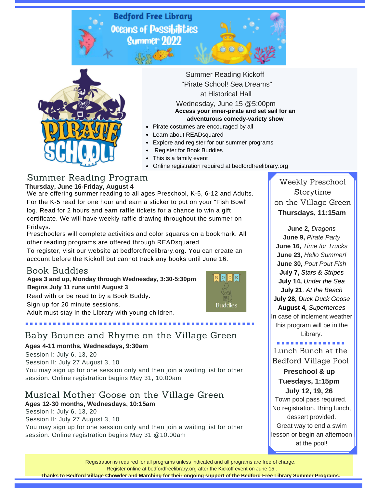# **Bedford Free Library** Oceans of Possibilities Summer 2022





**Access your inner-pirate and set sail for an adventurous comedy-variety show** Summer Reading Kickoff "Pirate School! Sea Dreams" at Historical Hall Wednesday, June 15 @5:00pm

- Pirate costumes are encouraged by all
- Learn about READsquared
- Explore and register for our summer programs
- Register for Book Buddies
- This is a family event
- Online registration required at bedfordfreelibrary.org

# Summer Reading [Program](http://bedfordfreelibrary.org/wp-content/uploads/Summer-Reading-game-2017.pdf)

**Thursday, June 16-Friday, August 4**

We are offering summer reading to all ages:Preschool, K-5, 6-12 and Adults. For the K-5 read for one hour and earn a sticker to put on your "Fish Bowl" log. Read for 2 hours and earn raffle tickets for a chance to win a gift certificate. We will have weekly raffle drawing throughout the summer on Fridays.

Preschoolers will complete activities and color squares on a bookmark. All other reading programs are offered through READsquared.

To register, visit our website at bedfordfreelibrary.org. You can create an account before the Kickoff but cannot track any books until June 16.

### Book [Buddies](http://bedfordfreelibrary.org/wp-content/uploads/Summer-Reading-game-2017.pdf)

Session I: July 6, 13, 20

Session II: July 27 August 3, 10

. . . . . . . . . . . .

**Ages 4-11 months, Wednesdays, 9:30am**

**Ages 3 and up, Monday through Wednesday, 3:30-5:30pm Begins July 11 runs until August 3** Read with or be read to by a Book Buddy. Sign up for 20 minute sessions. Adult must stay in the Library with young children.

session. Online registration begins May 31, 10:00am



**Thursdays, 11:15am** Weekly Preschool Storytime on the Village Green

**June 2,** *Dragons* **June 9,** *Pirate Party* **June 16,** *Time for Trucks* **June 23,** *Hello Summer!* **June 30,** *Pout Pout Fish* **July 7,** *Stars & Stripes* **July 14,** *Under the Sea* **July 21***, At the Beach* **July 28,** *Duck Duck Goose* **August 4***, Superheroes* In case of inclement weather this program will be in the Library.

Lunch Bunch at the Bedford Village Pool

**Preschool & up Tuesdays, 1:15pm**

**July 12, 19, 26** Town pool pass required. No registration. Bring lunch, dessert provided. Great way to end a swim lesson or begin an afternoon at the pool!

#### **Ages 12-30 months, Wednesdays, 10:15am** [Musical](http://bedfordfreelibrary.org/wp-content/uploads/MUSICAL-MOTHER-GOOSE-Summer-2017.pdf) Mother Goose on the Village Green

Session I: July 6, 13, 20 Session II: July 27 August 3, 10 You may sign up for one session only and then join a waiting list for other session. Online registration begins May 31 @10:00am

You may sign up for one session only and then join a waiting list for other

Baby [Bounce](http://bedfordfreelibrary.org/wp-content/uploads/baby-bounce-and-rhyme-flier-Summer-2017.pdf) and Rhyme on the Village Green

Registration is required for all programs unless indicated and all programs are free of charge. Register online at bedfordfreelibrary.org after the Kickoff event on June 15.. **Thanks to Bedford Village Chowder and Marching for their ongoing support of the Bedford Free Library Summer Programs.**